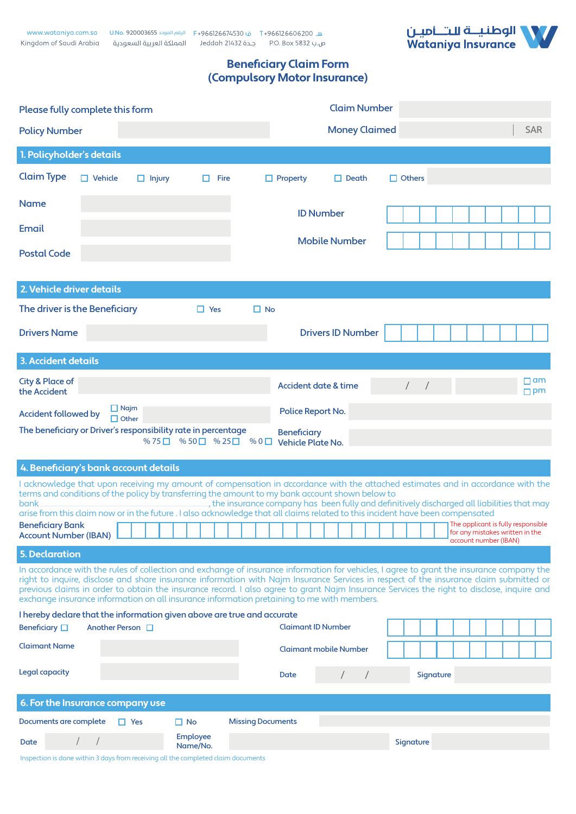

### **Beneficiary Claim Form (Compulsory Motor Insurance)**

| Please fully complete this form                                                                                                       | <b>Claim Number</b>                                                                                                                                                                                                                                                                                                                                                                                                              |  |  |  |  |  |  |  |  |  |  |  |
|---------------------------------------------------------------------------------------------------------------------------------------|----------------------------------------------------------------------------------------------------------------------------------------------------------------------------------------------------------------------------------------------------------------------------------------------------------------------------------------------------------------------------------------------------------------------------------|--|--|--|--|--|--|--|--|--|--|--|
| <b>Policy Number</b>                                                                                                                  | <b>Money Claimed</b><br><b>SAR</b>                                                                                                                                                                                                                                                                                                                                                                                               |  |  |  |  |  |  |  |  |  |  |  |
| 1. Policyholder's details                                                                                                             |                                                                                                                                                                                                                                                                                                                                                                                                                                  |  |  |  |  |  |  |  |  |  |  |  |
| <b>Claim Type</b><br>$\Box$ Vehicle<br>$\Box$ Injury<br>Fire                                                                          | $\Box$ Property<br>$\Box$ Death<br>$\Box$ Others                                                                                                                                                                                                                                                                                                                                                                                 |  |  |  |  |  |  |  |  |  |  |  |
| <b>Name</b><br>Email                                                                                                                  | <b>ID Number</b><br><b>Mobile Number</b>                                                                                                                                                                                                                                                                                                                                                                                         |  |  |  |  |  |  |  |  |  |  |  |
| <b>Postal Code</b>                                                                                                                    |                                                                                                                                                                                                                                                                                                                                                                                                                                  |  |  |  |  |  |  |  |  |  |  |  |
| 2. Vehicle driver details                                                                                                             |                                                                                                                                                                                                                                                                                                                                                                                                                                  |  |  |  |  |  |  |  |  |  |  |  |
| The driver is the Beneficiary<br>$\Box$ Yes                                                                                           | $\Box$ No                                                                                                                                                                                                                                                                                                                                                                                                                        |  |  |  |  |  |  |  |  |  |  |  |
| <b>Drivers Name</b>                                                                                                                   | <b>Drivers ID Number</b>                                                                                                                                                                                                                                                                                                                                                                                                         |  |  |  |  |  |  |  |  |  |  |  |
| 3. Accident details                                                                                                                   |                                                                                                                                                                                                                                                                                                                                                                                                                                  |  |  |  |  |  |  |  |  |  |  |  |
| <b>City &amp; Place of</b><br>the Accident                                                                                            | $\square$ am<br>Accident date & time<br>$\square$ pm                                                                                                                                                                                                                                                                                                                                                                             |  |  |  |  |  |  |  |  |  |  |  |
| $\Box$ Najm<br><b>Accident followed by</b><br>$\Box$ Other                                                                            | Police Report No.                                                                                                                                                                                                                                                                                                                                                                                                                |  |  |  |  |  |  |  |  |  |  |  |
| The beneficiary or Driver's responsibility rate in percentage<br>$% 75 \Box$ % 50 $\Box$ % 25 $\Box$ % 0 $\Box$                       | <b>Beneficiary</b><br><b>Vehicle Plate No.</b>                                                                                                                                                                                                                                                                                                                                                                                   |  |  |  |  |  |  |  |  |  |  |  |
| 4. Beneficiary's bank account details                                                                                                 |                                                                                                                                                                                                                                                                                                                                                                                                                                  |  |  |  |  |  |  |  |  |  |  |  |
| terms and conditions of the policy by transferring the amount to my bank account shown below to                                       | I acknowledge that upon receiving my amount of compensation in accordance with the attached estimates and in accordance with the                                                                                                                                                                                                                                                                                                 |  |  |  |  |  |  |  |  |  |  |  |
| bank<br>arise from this claim now or in the future. I also acknowledge that all claims related to this incident have been compensated | , the insurance company has been fully and definitively discharged all liabilities that may                                                                                                                                                                                                                                                                                                                                      |  |  |  |  |  |  |  |  |  |  |  |
|                                                                                                                                       |                                                                                                                                                                                                                                                                                                                                                                                                                                  |  |  |  |  |  |  |  |  |  |  |  |
| <b>Beneficiary Bank</b><br><b>Account Number (IBAN)</b> L                                                                             | The applicant is fully responsible<br>for any mistakes written in the                                                                                                                                                                                                                                                                                                                                                            |  |  |  |  |  |  |  |  |  |  |  |
| <b>5. Declaration</b>                                                                                                                 | account number (IBAN)                                                                                                                                                                                                                                                                                                                                                                                                            |  |  |  |  |  |  |  |  |  |  |  |
| exchange insurance information on all insurance information pretaining to me with members.                                            | In accordance with the rules of collection and exchange of insurance information for vehicles, I agree to grant the insurance company the<br>right to inquire, disclose and share insurance information with Najm Insurance Services in respect of the insurance claim submitted or<br>previous claims in order to obtain the insurance record. I also agree to grant Najm Insurance Services the right to disclose, inquire and |  |  |  |  |  |  |  |  |  |  |  |
| I hereby declare that the information given above are true and accurate<br>Beneficiary $\Box$<br>Another Person $\Box$                | <b>Claimant ID Number</b>                                                                                                                                                                                                                                                                                                                                                                                                        |  |  |  |  |  |  |  |  |  |  |  |
| <b>Claimant Name</b>                                                                                                                  | <b>Claimant mobile Number</b>                                                                                                                                                                                                                                                                                                                                                                                                    |  |  |  |  |  |  |  |  |  |  |  |
| Legal capacity                                                                                                                        | Signature<br>Date<br>$\sqrt{2}$<br>$\sqrt{2}$                                                                                                                                                                                                                                                                                                                                                                                    |  |  |  |  |  |  |  |  |  |  |  |
| 6. For the Insurance company use                                                                                                      |                                                                                                                                                                                                                                                                                                                                                                                                                                  |  |  |  |  |  |  |  |  |  |  |  |
| Documents are complete<br>$\square$ No<br>$\Box$ Yes                                                                                  | <b>Missing Documents</b>                                                                                                                                                                                                                                                                                                                                                                                                         |  |  |  |  |  |  |  |  |  |  |  |
| <b>Employee</b><br>Date<br>Name/No.                                                                                                   | Signature                                                                                                                                                                                                                                                                                                                                                                                                                        |  |  |  |  |  |  |  |  |  |  |  |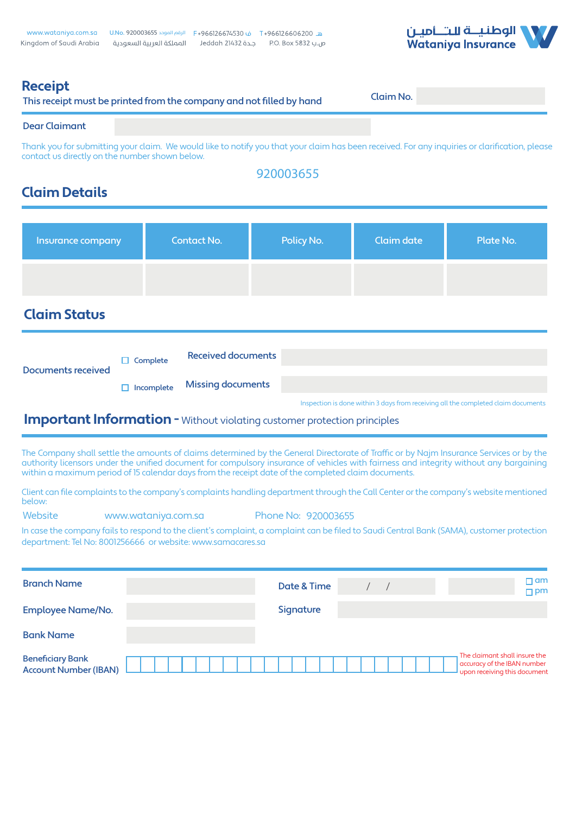| www.wataniya.com.sa     | هـ  T+966126606200 ف  F+966126674530     الرقم الموحد U.No. 920003655 |                  |                     |
|-------------------------|-----------------------------------------------------------------------|------------------|---------------------|
| Kingdom of Saudi Arabia | المملكة العربية السعودية                                              | حدة Jeddah 21432 | P.O. Box 5832 ч., р |



### **Receipt**

| This receipt must be printed from the company and not filled by hand | Claim No. |
|----------------------------------------------------------------------|-----------|
|                                                                      |           |

### Dear Claimant

Thank you for submitting your claim. We would like to notify you that your claim has been received. For any inquiries or clarification, please contact us directly on the number shown below.

920003655

## **Claim Details**

| Insurance company | <b>Contact No.</b> | Policy No. | Claim date | Plate No. |
|-------------------|--------------------|------------|------------|-----------|
|                   |                    |            |            |           |

### **Claim Status**

| Documents received | Complete          | Received documents       |  |
|--------------------|-------------------|--------------------------|--|
|                    | $\Box$ Incomplete | <b>Missing documents</b> |  |

Inspection is done within 3 days from receiving all the completed claim documents

# **Important Information -** Without violating customer protection principles

The Company shall settle the amounts of claims determined by the General Directorate of Traffic or by Najm Insurance Services or by the authority licensors under the unified document for compulsory insurance of vehicles with fairness and integrity without any bargaining within a maximum period of 15 calendar days from the receipt date of the completed claim documents.

Client can file complaints to the company's complaints handling department through the Call Center or the company's website mentioned below:

Website www.wataniya.com.sa Phone No: 920003655

In case the company fails to respond to the client's complaint, a complaint can be filed to Saudi Central Bank (SAMA), customer protection department: Tel No: 8001256666 or website: www.samacares.sa

| <b>Branch Name</b>                                |  |  |  |  |  |  | Date & Time |  |  |  |  |  |                                                                                              | $\sqcap$ am<br>$\sqcap$ pm |
|---------------------------------------------------|--|--|--|--|--|--|-------------|--|--|--|--|--|----------------------------------------------------------------------------------------------|----------------------------|
| <b>Employee Name/No.</b>                          |  |  |  |  |  |  | Signature   |  |  |  |  |  |                                                                                              |                            |
| <b>Bank Name</b>                                  |  |  |  |  |  |  |             |  |  |  |  |  |                                                                                              |                            |
| <b>Beneficiary Bank<br/>Account Number (IBAN)</b> |  |  |  |  |  |  |             |  |  |  |  |  | The claimant shall insure the<br>accuracy of the IBAN number<br>Upon receiving this document |                            |